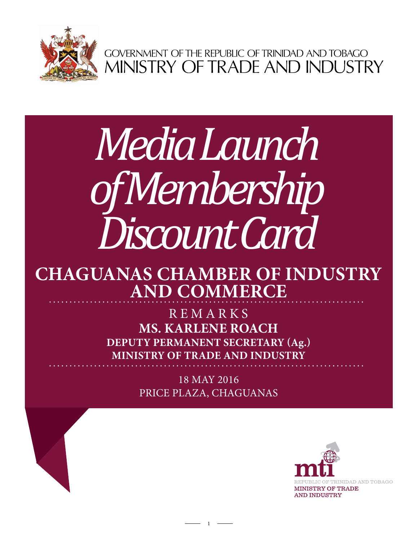

GOVERNMENT OF THE REPUBLIC OF TRINIDAD AND TOBAGO<br>MINISTRY OF TRADE AND INDUSTRY

# *Media Launch of Membership Discount Card*

## **Chaguanas Chamber of Industry and Commerce**

**Ms. Karlene Roach Deputy Permanent Secretary (Ag.) Ministry of Trade and Industry REMARKS** 

> 18 May 2016 Price Plaza, Chaguanas

> > 1

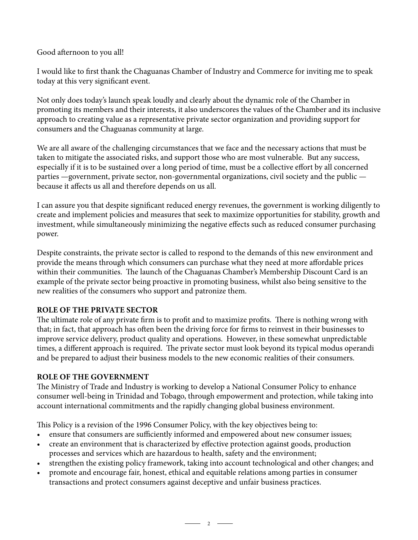Good afternoon to you all!

I would like to first thank the Chaguanas Chamber of Industry and Commerce for inviting me to speak today at this very significant event.

Not only does today's launch speak loudly and clearly about the dynamic role of the Chamber in promoting its members and their interests, it also underscores the values of the Chamber and its inclusive approach to creating value as a representative private sector organization and providing support for consumers and the Chaguanas community at large.

We are all aware of the challenging circumstances that we face and the necessary actions that must be taken to mitigate the associated risks, and support those who are most vulnerable. But any success, especially if it is to be sustained over a long period of time, must be a collective effort by all concerned parties —government, private sector, non-governmental organizations, civil society and the public because it affects us all and therefore depends on us all.

I can assure you that despite significant reduced energy revenues, the government is working diligently to create and implement policies and measures that seek to maximize opportunities for stability, growth and investment, while simultaneously minimizing the negative effects such as reduced consumer purchasing power.

Despite constraints, the private sector is called to respond to the demands of this new environment and provide the means through which consumers can purchase what they need at more affordable prices within their communities. The launch of the Chaguanas Chamber's Membership Discount Card is an example of the private sector being proactive in promoting business, whilst also being sensitive to the new realities of the consumers who support and patronize them.

### **ROLE OF THE PRIVATE SECTOR**

The ultimate role of any private firm is to profit and to maximize profits. There is nothing wrong with that; in fact, that approach has often been the driving force for firms to reinvest in their businesses to improve service delivery, product quality and operations. However, in these somewhat unpredictable times, a different approach is required. The private sector must look beyond its typical modus operandi and be prepared to adjust their business models to the new economic realities of their consumers.

### **ROLE OF THE GOVERNMENT**

The Ministry of Trade and Industry is working to develop a National Consumer Policy to enhance consumer well-being in Trinidad and Tobago, through empowerment and protection, while taking into account international commitments and the rapidly changing global business environment.

This Policy is a revision of the 1996 Consumer Policy, with the key objectives being to:

- ensure that consumers are sufficiently informed and empowered about new consumer issues;
- create an environment that is characterized by effective protection against goods, production processes and services which are hazardous to health, safety and the environment;
- strengthen the existing policy framework, taking into account technological and other changes; and

 $\overline{\phantom{a}}$  2  $\overline{\phantom{a}}$ 

• promote and encourage fair, honest, ethical and equitable relations among parties in consumer transactions and protect consumers against deceptive and unfair business practices.